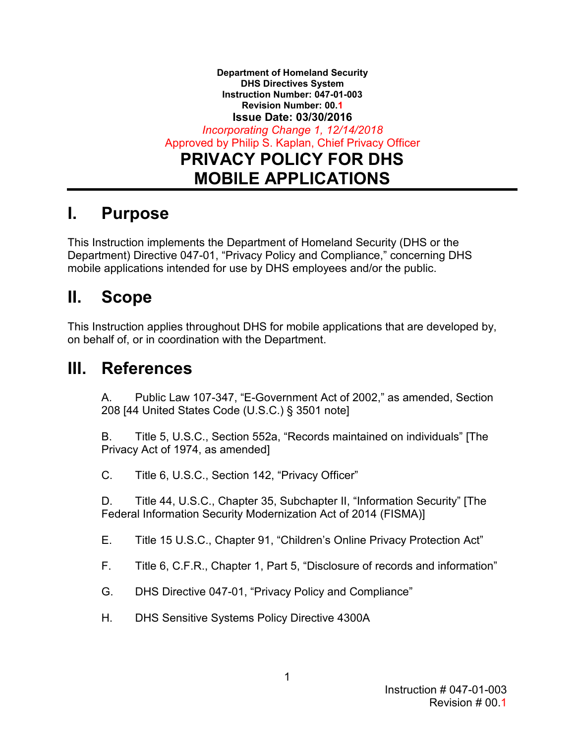**Department of Homeland Security DHS Directives System Instruction Number: 047-01-003 Revision Number: 00.1 Issue Date: 03/30/2016**  *Incorporating Change 1, 12/14/2018*  Approved by Philip S. Kaplan, Chief Privacy Officer **PRIVACY POLICY FOR DHS MOBILE APPLICATIONS** 

## **I. Purpose**

This Instruction implements the Department of Homeland Security (DHS or the Department) Directive 047-01, "Privacy Policy and Compliance," concerning DHS mobile applications intended for use by DHS employees and/or the public.

#### **II. Scope**

 This Instruction applies throughout DHS for mobile applications that are developed by, on behalf of, or in coordination with the Department.

## **III. References**

 A. Public Law 107-347, "E-Government Act of 2002," as amended, Section 208 [44 United States Code (U.S.C.) § 3501 note]

B. Title 5, U.S.C., Section 552a, "Records maintained on individuals" [The Privacy Act of 1974, as amended]

C. Title 6, U.S.C., Section 142, "Privacy Officer"

Federal Information Security Modernization Act of 2014 (FISMA)] D. Title 44, U.S.C., Chapter 35, Subchapter II, "Information Security" [The

E. Title 15 U.S.C., Chapter 91, "Children's Online Privacy Protection Act"

- F. Title 6, C.F.R., Chapter 1, Part 5, "Disclosure of records and information"
- G. DHS Directive 047-01, "Privacy Policy and Compliance"
- H. DHS Sensitive Systems Policy Directive 4300A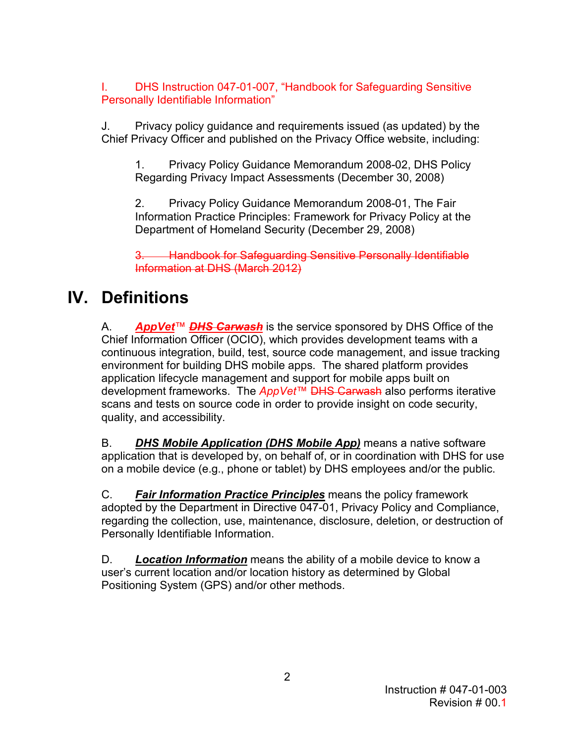I. DHS Instruction 047-01-007, "Handbook for Safeguarding Sensitive Personally Identifiable Information"

J. Privacy policy guidance and requirements issued (as updated) by the Chief Privacy Officer and published on the Privacy Office website, including:

1. Privacy Policy Guidance Memorandum 2008-02, DHS Policy Regarding Privacy Impact Assessments (December 30, 2008)

2. Privacy Policy Guidance Memorandum 2008-01, The Fair Information Practice Principles: Framework for Privacy Policy at the Department of Homeland Security (December 29, 2008)

**Handbook for Safeguarding Sensitive Personally Identifiable** Information at DHS (March 2012)

# **IV. Definitions**

 environment for building DHS mobile apps. The shared platform provides A. *AppVet*™ *DHS Carwash* is the service sponsored by DHS Office of the Chief Information Officer (OCIO), which provides development teams with a continuous integration, build, test, source code management, and issue tracking application lifecycle management and support for mobile apps built on development frameworks. The *AppVet*™ DHS Carwash also performs iterative scans and tests on source code in order to provide insight on code security, quality, and accessibility.

B. *DHS Mobile Application (DHS Mobile App)* means a native software application that is developed by, on behalf of, or in coordination with DHS for use on a mobile device (e.g., phone or tablet) by DHS employees and/or the public.

 C. *Fair Information Practice Principles* means the policy framework adopted by the Department in Directive 047-01, Privacy Policy and Compliance, regarding the collection, use, maintenance, disclosure, deletion, or destruction of Personally Identifiable Information.

D. *Location Information* means the ability of a mobile device to know a user's current location and/or location history as determined by Global Positioning System (GPS) and/or other methods.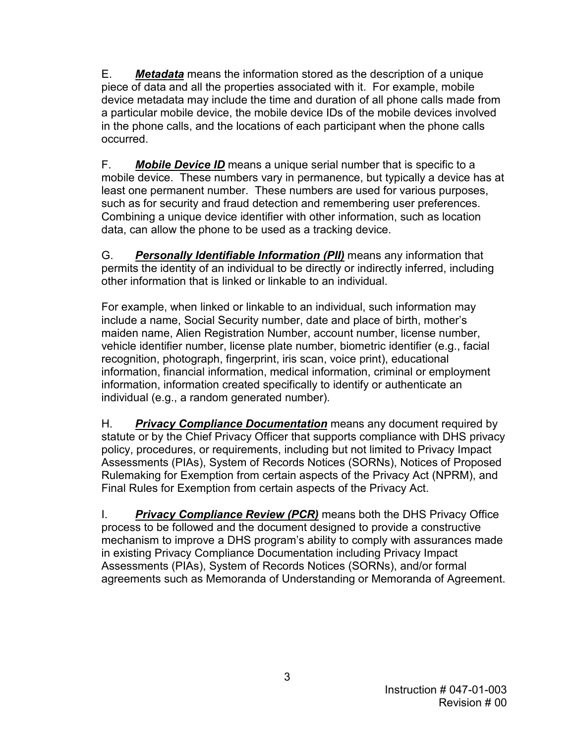E. *Metadata* means the information stored as the description of a unique piece of data and all the properties associated with it. For example, mobile device metadata may include the time and duration of all phone calls made from a particular mobile device, the mobile device IDs of the mobile devices involved in the phone calls, and the locations of each participant when the phone calls occurred.

 mobile device. These numbers vary in permanence, but typically a device has at such as for security and fraud detection and remembering user preferences. F. *Mobile Device ID* means a unique serial number that is specific to a least one permanent number. These numbers are used for various purposes, Combining a unique device identifier with other information, such as location data, can allow the phone to be used as a tracking device.

G. *Personally Identifiable Information (PII)* means any information that permits the identity of an individual to be directly or indirectly inferred, including other information that is linked or linkable to an individual.

 include a name, Social Security number, date and place of birth, mother's vehicle identifier number, license plate number, biometric identifier (e.g., facial For example, when linked or linkable to an individual, such information may maiden name, Alien Registration Number, account number, license number, recognition, photograph, fingerprint, iris scan, voice print), educational information, financial information, medical information, criminal or employment information, information created specifically to identify or authenticate an individual (e.g., a random generated number).

 H. *Privacy Compliance Documentation* means any document required by statute or by the Chief Privacy Officer that supports compliance with DHS privacy policy, procedures, or requirements, including but not limited to Privacy Impact Assessments (PIAs), System of Records Notices (SORNs), Notices of Proposed Rulemaking for Exemption from certain aspects of the Privacy Act (NPRM), and Final Rules for Exemption from certain aspects of the Privacy Act.

 I. *Privacy Compliance Review (PCR)* means both the DHS Privacy Office Assessments (PIAs), System of Records Notices (SORNs), and/or formal agreements such as Memoranda of Understanding or Memoranda of Agreement. process to be followed and the document designed to provide a constructive mechanism to improve a DHS program's ability to comply with assurances made in existing Privacy Compliance Documentation including Privacy Impact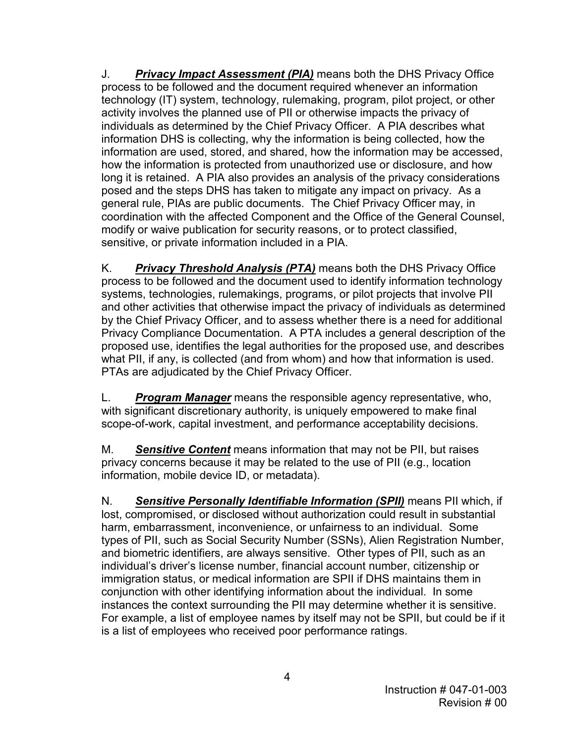J. *Privacy Impact Assessment (PIA)* means both the DHS Privacy Office technology (IT) system, technology, rulemaking, program, pilot project, or other posed and the steps DHS has taken to mitigate any impact on privacy. As a process to be followed and the document required whenever an information activity involves the planned use of PII or otherwise impacts the privacy of individuals as determined by the Chief Privacy Officer. A PIA describes what information DHS is collecting, why the information is being collected, how the information are used, stored, and shared, how the information may be accessed, how the information is protected from unauthorized use or disclosure, and how long it is retained. A PIA also provides an analysis of the privacy considerations general rule, PIAs are public documents. The Chief Privacy Officer may, in coordination with the affected Component and the Office of the General Counsel, modify or waive publication for security reasons, or to protect classified, sensitive, or private information included in a PIA.

 systems, technologies, rulemakings, programs, or pilot projects that involve PII K. *Privacy Threshold Analysis (PTA)* means both the DHS Privacy Office process to be followed and the document used to identify information technology and other activities that otherwise impact the privacy of individuals as determined by the Chief Privacy Officer, and to assess whether there is a need for additional Privacy Compliance Documentation. A PTA includes a general description of the proposed use, identifies the legal authorities for the proposed use, and describes what PII, if any, is collected (and from whom) and how that information is used. PTAs are adjudicated by the Chief Privacy Officer.

 L. *Program Manager* means the responsible agency representative, who, with significant discretionary authority, is uniquely empowered to make final scope-of-work, capital investment, and performance acceptability decisions.

M. *Sensitive Content* means information that may not be PII, but raises privacy concerns because it may be related to the use of PII (e.g., location information, mobile device ID, or metadata).

 N. *Sensitive Personally Identifiable Information (SPII)* means PII which, if individual's driver's license number, financial account number, citizenship or For example, a list of employee names by itself may not be SPII, but could be if it is a list of employees who received poor performance ratings. lost, compromised, or disclosed without authorization could result in substantial harm, embarrassment, inconvenience, or unfairness to an individual. Some types of PII, such as Social Security Number (SSNs), Alien Registration Number, and biometric identifiers, are always sensitive. Other types of PII, such as an immigration status, or medical information are SPII if DHS maintains them in conjunction with other identifying information about the individual. In some instances the context surrounding the PII may determine whether it is sensitive.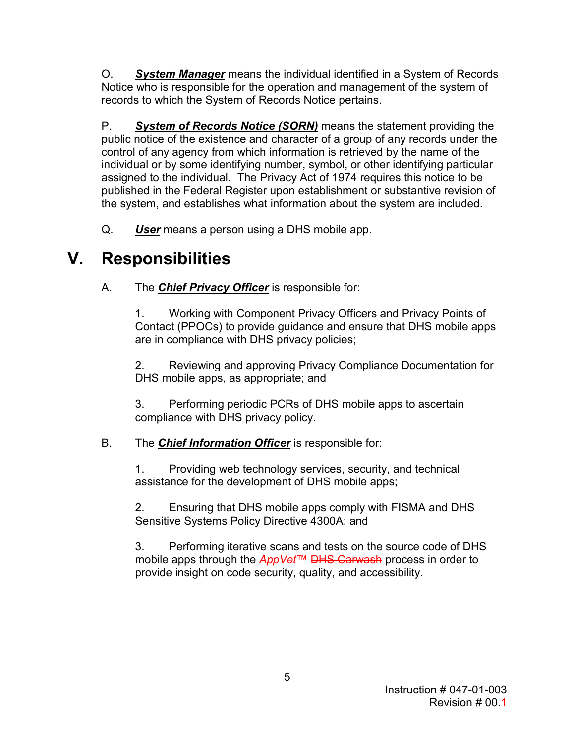O. *System Manager* means the individual identified in a System of Records Notice who is responsible for the operation and management of the system of records to which the System of Records Notice pertains.

 public notice of the existence and character of a group of any records under the control of any agency from which information is retrieved by the name of the assigned to the individual. The Privacy Act of 1974 requires this notice to be P. *System of Records Notice (SORN)* means the statement providing the individual or by some identifying number, symbol, or other identifying particular published in the Federal Register upon establishment or substantive revision of the system, and establishes what information about the system are included.

Q. **User** means a person using a DHS mobile app.

# **V. Responsibilities**

A. The *Chief Privacy Officer* is responsible for:

are in compliance with DHS privacy policies; 1. Working with Component Privacy Officers and Privacy Points of Contact (PPOCs) to provide guidance and ensure that DHS mobile apps

2. Reviewing and approving Privacy Compliance Documentation for DHS mobile apps, as appropriate; and

3. Performing periodic PCRs of DHS mobile apps to ascertain compliance with DHS privacy policy.

## B. The *Chief Information Officer* is responsible for:

1. Providing web technology services, security, and technical assistance for the development of DHS mobile apps;

2. Ensuring that DHS mobile apps comply with FISMA and DHS Sensitive Systems Policy Directive 4300A; and

3. Performing iterative scans and tests on the source code of DHS mobile apps through the *AppVet*™ DHS Carwash process in order to provide insight on code security, quality, and accessibility.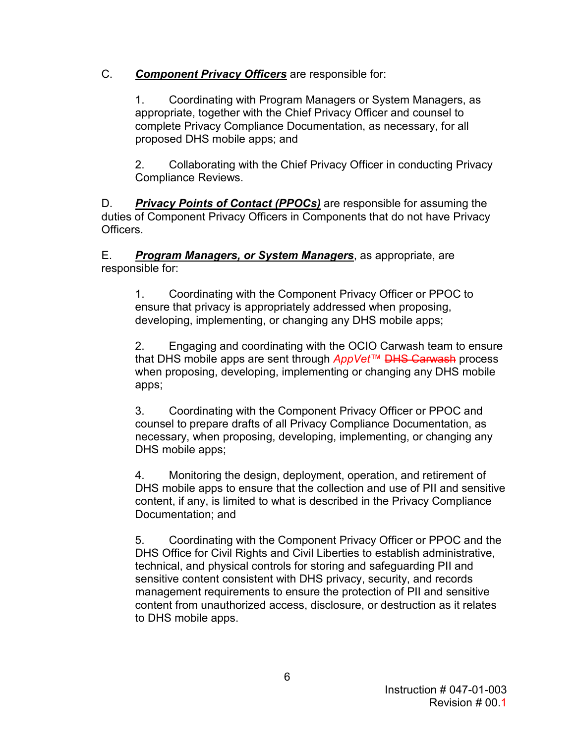### C. *Component Privacy Officers* are responsible for:

 appropriate, together with the Chief Privacy Officer and counsel to complete Privacy Compliance Documentation, as necessary, for all 1. Coordinating with Program Managers or System Managers, as proposed DHS mobile apps; and

2. Collaborating with the Chief Privacy Officer in conducting Privacy Compliance Reviews.

D. *Privacy Points of Contact (PPOCs)* are responsible for assuming the duties of Component Privacy Officers in Components that do not have Privacy Officers.

E. *Program Managers, or System Managers*, as appropriate, are responsible for:

 1. Coordinating with the Component Privacy Officer or PPOC to ensure that privacy is appropriately addressed when proposing, developing, implementing, or changing any DHS mobile apps;

2. Engaging and coordinating with the OCIO Carwash team to ensure that DHS mobile apps are sent through *AppVet*™ DHS Carwash process when proposing, developing, implementing or changing any DHS mobile apps;

 3. Coordinating with the Component Privacy Officer or PPOC and counsel to prepare drafts of all Privacy Compliance Documentation, as necessary, when proposing, developing, implementing, or changing any DHS mobile apps;

4. Monitoring the design, deployment, operation, and retirement of DHS mobile apps to ensure that the collection and use of PII and sensitive content, if any, is limited to what is described in the Privacy Compliance Documentation; and

 technical, and physical controls for storing and safeguarding PII and 5. Coordinating with the Component Privacy Officer or PPOC and the DHS Office for Civil Rights and Civil Liberties to establish administrative, sensitive content consistent with DHS privacy, security, and records management requirements to ensure the protection of PII and sensitive content from unauthorized access, disclosure, or destruction as it relates to DHS mobile apps.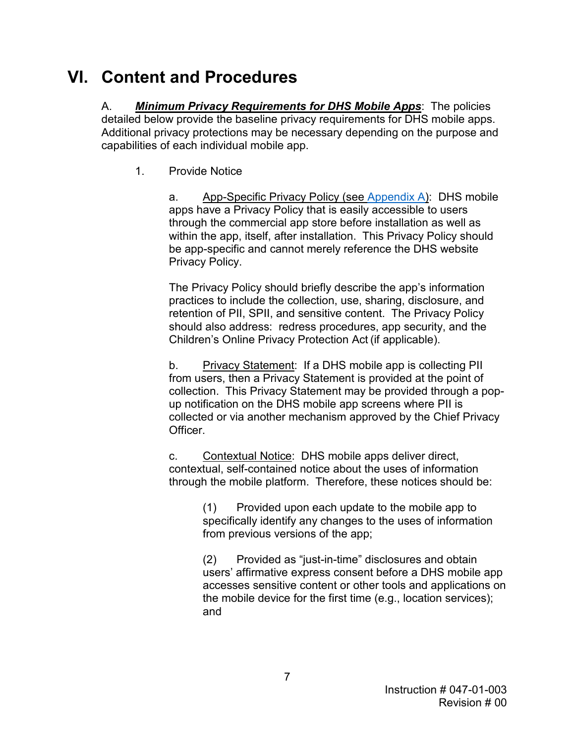# **VI. Content and Procedures**

 detailed below provide the baseline privacy requirements for DHS mobile apps. capabilities of each individual mobile app. 1. Provide Notice A. *Minimum Privacy Requirements for DHS Mobile Apps*: The policies Additional privacy protections may be necessary depending on the purpose and

 within the app, itself, after installation. This Privacy Policy should a. App-Specific Privacy Policy (see [Appendix A\)](#page-10-0): DHS mobile apps have a Privacy Policy that is easily accessible to users through the commercial app store before installation as well as be app-specific and cannot merely reference the DHS website Privacy Policy.

 retention of PII, SPII, and sensitive content. The Privacy Policy The Privacy Policy should briefly describe the app's information practices to include the collection, use, sharing, disclosure, and should also address: redress procedures, app security, and the Children's Online Privacy Protection Act (if applicable).

 collection. This Privacy Statement may be provided through a popb. Privacy Statement: If a DHS mobile app is collecting PII from users, then a Privacy Statement is provided at the point of up notification on the DHS mobile app screens where PII is collected or via another mechanism approved by the Chief Privacy Officer.

 through the mobile platform. Therefore, these notices should be: c. Contextual Notice: DHS mobile apps deliver direct, contextual, self-contained notice about the uses of information

> (1) Provided upon each update to the mobile app to specifically identify any changes to the uses of information from previous versions of the app;

(2) Provided as "just-in-time" disclosures and obtain users' affirmative express consent before a DHS mobile app accesses sensitive content or other tools and applications on the mobile device for the first time (e.g., location services); and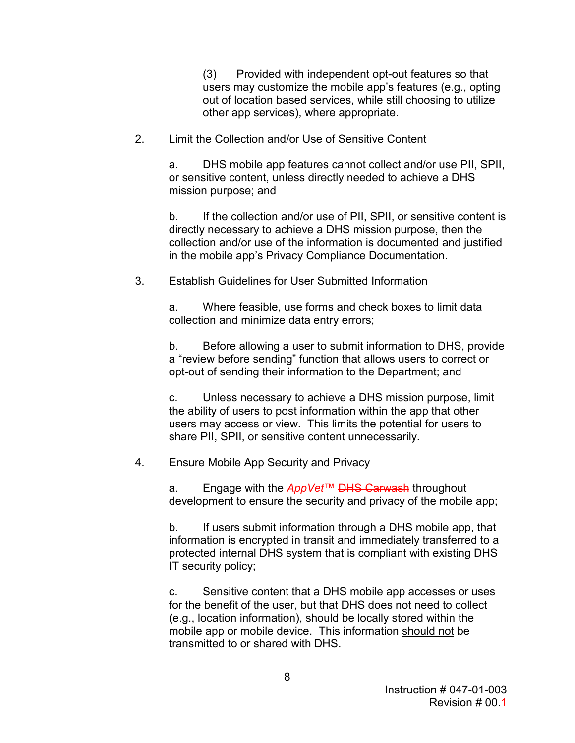(3) Provided with independent opt-out features so that users may customize the mobile app's features (e.g., opting out of location based services, while still choosing to utilize other app services), where appropriate.

2. Limit the Collection and/or Use of Sensitive Content

a. DHS mobile app features cannot collect and/or use PII, SPII, or sensitive content, unless directly needed to achieve a DHS mission purpose; and

b. If the collection and/or use of PII, SPII, or sensitive content is directly necessary to achieve a DHS mission purpose, then the collection and/or use of the information is documented and justified in the mobile app's Privacy Compliance Documentation.

3. Establish Guidelines for User Submitted Information

 a. Where feasible, use forms and check boxes to limit data collection and minimize data entry errors;

 a "review before sending" function that allows users to correct or b. Before allowing a user to submit information to DHS, provide opt-out of sending their information to the Department; and

 users may access or view. This limits the potential for users to c. Unless necessary to achieve a DHS mission purpose, limit the ability of users to post information within the app that other share PII, SPII, or sensitive content unnecessarily.

Ensure Mobile App Security and Privacy

 4. Ensure Mobile App Security and Privacy a. Engage with the *AppVet*™ DHS Carwash throughout development to ensure the security and privacy of the mobile app;

 $b_{\cdot}$ If users submit information through a DHS mobile app, that information is encrypted in transit and immediately transferred to a protected internal DHS system that is compliant with existing DHS IT security policy;

 c. Sensitive content that a DHS mobile app accesses or uses for the benefit of the user, but that DHS does not need to collect (e.g., location information), should be locally stored within the mobile app or mobile device. This information should not be transmitted to or shared with DHS.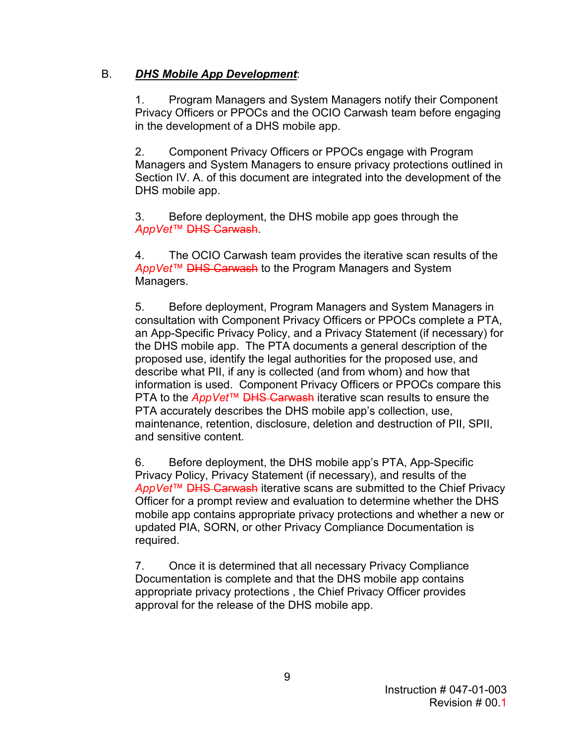## B. *DHS Mobile App Development*:

 in the development of a DHS mobile app. 1. Program Managers and System Managers notify their Component Privacy Officers or PPOCs and the OCIO Carwash team before engaging

2. Component Privacy Officers or PPOCs engage with Program Managers and System Managers to ensure privacy protections outlined in Section IV. A. of this document are integrated into the development of the DHS mobile app.

3. Before deployment, the DHS mobile app goes through the *AppVet*™ DHS Carwash.

4. The OCIO Carwash team provides the iterative scan results of the *AppVet*™ DHS Carwash to the Program Managers and System Managers.

 consultation with Component Privacy Officers or PPOCs complete a PTA, the DHS mobile app. The PTA documents a general description of the 5. Before deployment, Program Managers and System Managers in an App-Specific Privacy Policy, and a Privacy Statement (if necessary) for proposed use, identify the legal authorities for the proposed use, and describe what PII, if any is collected (and from whom) and how that information is used. Component Privacy Officers or PPOCs compare this PTA to the *AppVet*™ DHS Carwash iterative scan results to ensure the PTA accurately describes the DHS mobile app's collection, use, maintenance, retention, disclosure, deletion and destruction of PII, SPII, and sensitive content.

 *AppVet*™ DHS Carwash iterative scans are submitted to the Chief Privacy Officer for a prompt review and evaluation to determine whether the DHS mobile app contains appropriate privacy protections and whether a new or updated PIA, SORN, or other Privacy Compliance Documentation is 6. Before deployment, the DHS mobile app's PTA, App-Specific Privacy Policy, Privacy Statement (if necessary), and results of the required.

 appropriate privacy protections , the Chief Privacy Officer provides 7. Once it is determined that all necessary Privacy Compliance Documentation is complete and that the DHS mobile app contains approval for the release of the DHS mobile app.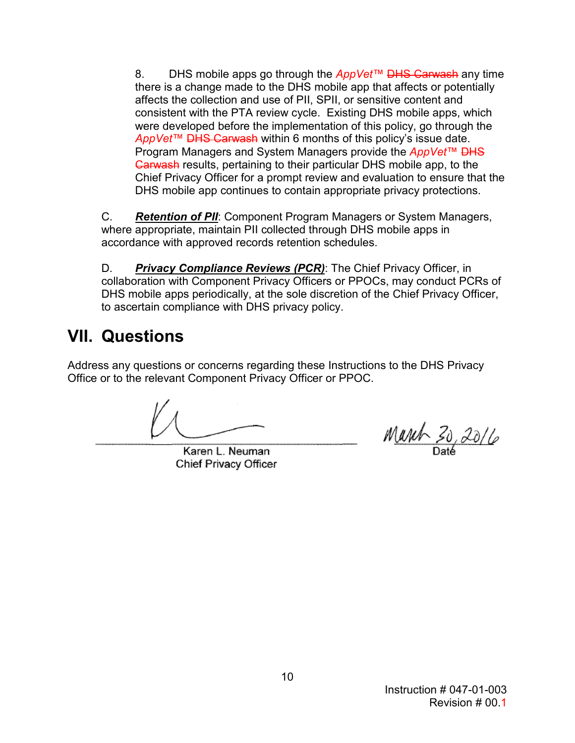there is a change made to the DHS mobile app that affects or potentially affects the collection and use of PII, SPII, or sensitive content and AppVet™ DHS Carwash within 6 months of this policy's issue date. *AppVet*™ <del>DHS Carwash</del> within 6 months of this policy's issue date.<br>Program Managers and System Managers provide the *AppVet*™ <del>DHS</del> Carwash results, pertaining to their particular DHS mobile app, to the DHS mobile app continues to contain appropriate privacy protections. 8. DHS mobile apps go through the *AppVet*™ DHS Carwash any time consistent with the PTA review cycle. Existing DHS mobile apps, which were developed before the implementation of this policy, go through the Chief Privacy Officer for a prompt review and evaluation to ensure that the

C. **Retention of PII**: Component Program Managers or System Managers, where appropriate, maintain PII collected through DHS mobile apps in accordance with approved records retention schedules.

D. *Privacy Compliance Reviews (PCR)*: The Chief Privacy Officer, in collaboration with Component Privacy Officers or PPOCs, may conduct PCRs of DHS mobile apps periodically, at the sole discretion of the Chief Privacy Officer, to ascertain compliance with DHS privacy policy.

# **VII. Questions**

 Address any questions or concerns regarding these Instructions to the DHS Privacy Office or to the relevant Component Privacy Officer or PPOC.

Karen L. Neuman Chief Privacy Officer

March 30, 2016